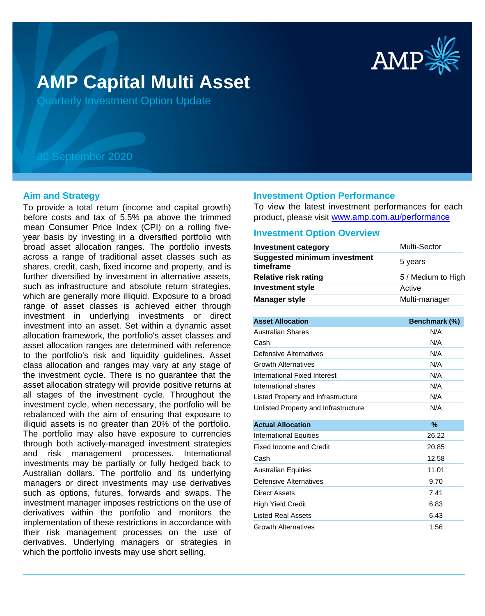

# **AMP Capital Multi Asset**

Quarterly Investment Option Update

## 30 September 2020

#### **Aim and Strategy**

To provide a total return (income and capital growth) before costs and tax of 5.5% pa above the trimmed mean Consumer Price Index (CPI) on a rolling fiveyear basis by investing in a diversified portfolio with broad asset allocation ranges. The portfolio invests across a range of traditional asset classes such as shares, credit, cash, fixed income and property, and is further diversified by investment in alternative assets, such as infrastructure and absolute return strategies, which are generally more illiquid. Exposure to a broad range of asset classes is achieved either through investment in underlying investments or direct investment into an asset. Set within a dynamic asset allocation framework, the portfolio's asset classes and asset allocation ranges are determined with reference to the portfolio's risk and liquidity guidelines. Asset class allocation and ranges may vary at any stage of the investment cycle. There is no guarantee that the asset allocation strategy will provide positive returns at all stages of the investment cycle. Throughout the investment cycle, when necessary, the portfolio will be rebalanced with the aim of ensuring that exposure to illiquid assets is no greater than 20% of the portfolio. The portfolio may also have exposure to currencies through both actively-managed investment strategies and risk management processes. International investments may be partially or fully hedged back to Australian dollars. The portfolio and its underlying managers or direct investments may use derivatives such as options, futures, forwards and swaps. The investment manager imposes restrictions on the use of derivatives within the portfolio and monitors the implementation of these restrictions in accordance with their risk management processes on the use of derivatives. Underlying managers or strategies in which the portfolio invests may use short selling.

#### **Investment Option Performance**

To view the latest investment performances for each product, please visit www.amp.com.au/performance

#### **Investment Option Overview**

| <b>Investment category</b>                       | <b>Multi-Sector</b> |  |
|--------------------------------------------------|---------------------|--|
| <b>Suggested minimum investment</b><br>timeframe | 5 years             |  |
| <b>Relative risk rating</b>                      | 5 / Medium to High  |  |
| <b>Investment style</b>                          | Active              |  |
| <b>Manager style</b>                             | Multi-manager       |  |

| <b>Asset Allocation</b>              | Benchmark (%) |
|--------------------------------------|---------------|
| <b>Australian Shares</b>             | N/A           |
| Cash                                 | N/A           |
| Defensive Alternatives               | N/A           |
| <b>Growth Alternatives</b>           | N/A           |
| International Fixed Interest         | N/A           |
| International shares                 | N/A           |
| Listed Property and Infrastructure   | N/A           |
| Unlisted Property and Infrastructure | N/A           |
| <b>Actual Allocation</b>             | %             |
| International Equities               | 26.22         |
| Fixed Income and Credit              | 20.85         |
| Cash                                 | 12.58         |
| <b>Australian Equities</b>           | 11.01         |
| Defensive Alternatives               | 9.70          |
| Direct Assets                        | 7.41          |
| High Yield Credit                    | 6.83          |
| <b>Listed Real Assets</b>            | 6.43          |
| <b>Growth Alternatives</b>           | 1.56          |
|                                      |               |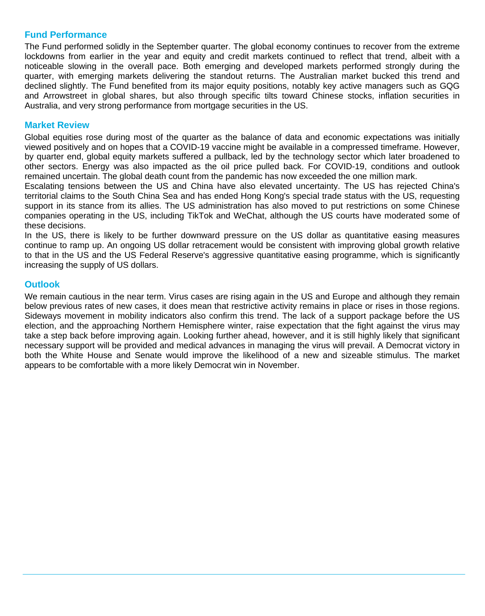### **Fund Performance**

The Fund performed solidly in the September quarter. The global economy continues to recover from the extreme lockdowns from earlier in the year and equity and credit markets continued to reflect that trend, albeit with a noticeable slowing in the overall pace. Both emerging and developed markets performed strongly during the quarter, with emerging markets delivering the standout returns. The Australian market bucked this trend and declined slightly. The Fund benefited from its major equity positions, notably key active managers such as GQG and Arrowstreet in global shares, but also through specific tilts toward Chinese stocks, inflation securities in Australia, and very strong performance from mortgage securities in the US.

#### **Market Review**

Global equities rose during most of the quarter as the balance of data and economic expectations was initially viewed positively and on hopes that a COVID-19 vaccine might be available in a compressed timeframe. However, by quarter end, global equity markets suffered a pullback, led by the technology sector which later broadened to other sectors. Energy was also impacted as the oil price pulled back. For COVID-19, conditions and outlook remained uncertain. The global death count from the pandemic has now exceeded the one million mark.

Escalating tensions between the US and China have also elevated uncertainty. The US has rejected China's territorial claims to the South China Sea and has ended Hong Kong's special trade status with the US, requesting support in its stance from its allies. The US administration has also moved to put restrictions on some Chinese companies operating in the US, including TikTok and WeChat, although the US courts have moderated some of these decisions.

In the US, there is likely to be further downward pressure on the US dollar as quantitative easing measures continue to ramp up. An ongoing US dollar retracement would be consistent with improving global growth relative to that in the US and the US Federal Reserve's aggressive quantitative easing programme, which is significantly increasing the supply of US dollars.

#### **Outlook**

We remain cautious in the near term. Virus cases are rising again in the US and Europe and although they remain below previous rates of new cases, it does mean that restrictive activity remains in place or rises in those regions. Sideways movement in mobility indicators also confirm this trend. The lack of a support package before the US election, and the approaching Northern Hemisphere winter, raise expectation that the fight against the virus may take a step back before improving again. Looking further ahead, however, and it is still highly likely that significant necessary support will be provided and medical advances in managing the virus will prevail. A Democrat victory in both the White House and Senate would improve the likelihood of a new and sizeable stimulus. The market appears to be comfortable with a more likely Democrat win in November.